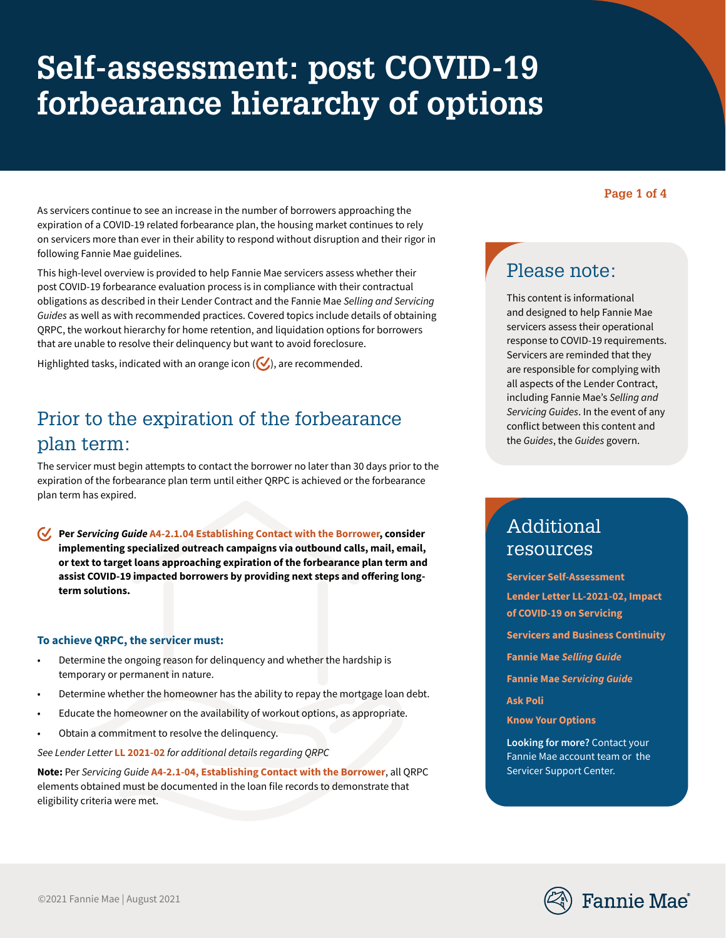# **Self-assessment: post COVID-19 forbearance hierarchy of options**

**Page 1 of 4**

As servicers continue to see an increase in the number of borrowers approaching the expiration of a COVID-19 related forbearance plan, the housing market continues to rely on servicers more than ever in their ability to respond without disruption and their rigor in following Fannie Mae guidelines.

This high-level overview is provided to help Fannie Mae servicers assess whether their post COVID-19 forbearance evaluation process is in compliance with their contractual obligations as described in their Lender Contract and the Fannie Mae *Selling and Servicing Guides* as well as with recommended practices. Covered topics include details of obtaining QRPC, the workout hierarchy for home retention, and liquidation options for borrowers that are unable to resolve their delinquency but want to avoid foreclosure.

Highlighted tasks, indicated with an orange icon  $(\vee)$ , are recommended.

# Prior to the expiration of the forbearance plan term:

The servicer must begin attempts to contact the borrower no later than 30 days prior to the expiration of the forbearance plan term until either QRPC is achieved or the forbearance plan term has expired.

**Per** *Servicing Guide* **[A4-2.1.04 Establishing Contact with the Borrower](https://servicing-guide.fanniemae.com/THE-SERVICING-GUIDE/Part-A-Doing-Business-with-Fannie-Mae/Subpart-A4-Setting-Up-Servicer-Operations/Chapter-A4-2-Requirements-for-Delinquent-Mortgage-Loans/Section-A4-2-1-Establishing-Default-Management-Strategies/A4-2-1-04-Establishing-Contact-with-the-Borrower/1581707771/A4-2-1-04-Establishing-Contact-with-the-Borrower-12-16-2015.htm), consider implementing specialized outreach campaigns via outbound calls, mail, email, or text to target loans approaching expiration of the forbearance plan term and assist COVID-19 impacted borrowers by providing next steps and offering longterm solutions.**

#### **To achieve QRPC, the servicer must:**

- Determine the ongoing reason for delinquency and whether the hardship is temporary or permanent in nature.
- Determine whether the homeowner has the ability to repay the mortgage loan debt.
- Educate the homeowner on the availability of workout options, as appropriate.
- Obtain a commitment to resolve the delinquency.

*See Lender Letter* **[LL 2021-02](https://singlefamily.fanniemae.com/media/24891/display)** *for additional details regarding QRPC* 

**Note:** Per *Servicing Guide* **[A4-2.1-04, Establishing Contact with the Borrower](https://servicing-guide.fanniemae.com/THE-SERVICING-GUIDE/Part-A-Doing-Business-with-Fannie-Mae/Subpart-A4-Setting-Up-Servicer-Operations/Chapter-A4-2-Requirements-for-Delinquent-Mortgage-Loans/Section-A4-2-1-Establishing-Default-Management-Strategies/A4-2-1-04-Establishing-Contact-with-the-Borrower/1581707771/A4-2-1-04-Establishing-Contact-with-the-Borrower-12-16-2015.htm)**, all QRPC elements obtained must be documented in the loan file records to demonstrate that eligibility criteria were met.

## Please note:

This content is informational and designed to help Fannie Mae servicers assess their operational response to COVID-19 requirements. Servicers are reminded that they are responsible for complying with all aspects of the Lender Contract, including Fannie Mae's *Selling and Servicing Guides*. In the event of any conflict between this content and the *Guides*, the *Guides* govern.

### Additional resources

**[Servicer Self-Assessment](https://singlefamily.fanniemae.com/media/document/pdf/servicer-self-assessment) [Lender Letter LL-2021-02, Impact](https://singlefamily.fanniemae.com/media/document/pdf/lender-letter-ll-2021-02-impact-covid-19-servicing)  [of COVID-19 on Servicing](https://singlefamily.fanniemae.com/media/document/pdf/lender-letter-ll-2021-02-impact-covid-19-servicing) [Servicers and Business Continuity](https://singlefamily.fanniemae.com/media/document/pdf/servicers-and-business-continuity) Fannie Mae** *[Selling Guide](https://selling-guide.fanniemae.com/)*

**Fannie Mae** *[Servicing Guide](https://servicing-guide.fanniemae.com/)*

**[Ask Poli](https://askpoli.fanniemae.com/)**

**[Know Your Options](https://www.knowyouroptions.com/)**

**Looking for more?** Contact your Fannie Mae account team or the Servicer Support Center.

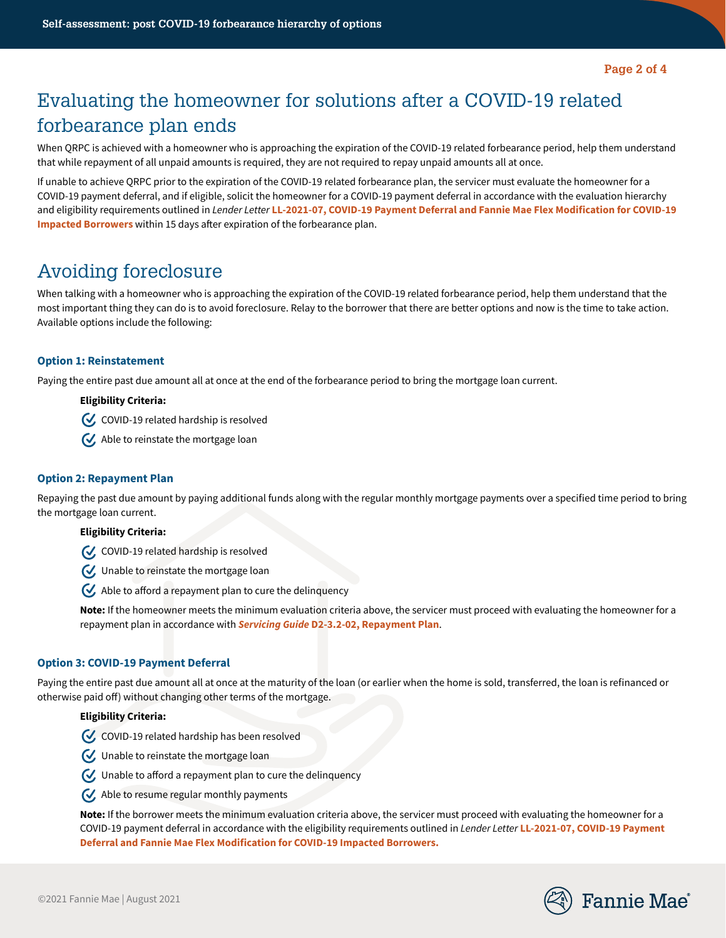## Evaluating the homeowner for solutions after a COVID-19 related forbearance plan ends

When QRPC is achieved with a homeowner who is approaching the expiration of the COVID-19 related forbearance period, help them understand that while repayment of all unpaid amounts is required, they are not required to repay unpaid amounts all at once.

If unable to achieve QRPC prior to the expiration of the COVID-19 related forbearance plan, the servicer must evaluate the homeowner for a COVID-19 payment deferral, and if eligible, solicit the homeowner for a COVID-19 payment deferral in accordance with the evaluation hierarchy and eligibility requirements outlined in *Lender Letter* **[LL-2021-07, COVID-19 Payment Deferral and Fannie Mae Flex Modification for COVID-19](https://singlefamily.fanniemae.com/media/document/pdf/lender-letter-ll-2021-07-covid-19-payment-deferral)  [Impacted Borrowers](https://singlefamily.fanniemae.com/media/document/pdf/lender-letter-ll-2021-07-covid-19-payment-deferral)** within 15 days after expiration of the forbearance plan.

### Avoiding foreclosure

When talking with a homeowner who is approaching the expiration of the COVID-19 related forbearance period, help them understand that the most important thing they can do is to avoid foreclosure. Relay to the borrower that there are better options and now is the time to take action. Available options include the following:

#### **Option 1: Reinstatement**

Paying the entire past due amount all at once at the end of the forbearance period to bring the mortgage loan current.

#### **Eligibility Criteria:**

 $C$  COVID-19 related hardship is resolved

Able to reinstate the mortgage loan

#### **Option 2: Repayment Plan**

Repaying the past due amount by paying additional funds along with the regular monthly mortgage payments over a specified time period to bring the mortgage loan current.

#### **Eligibility Criteria:**

C, COVID-19 related hardship is resolved

Unable to reinstate the mortgage loan

 $\bigvee$ , Able to afford a repayment plan to cure the delinguency

**Note:** If the homeowner meets the minimum evaluation criteria above, the servicer must proceed with evaluating the homeowner for a repayment plan in accordance with *Servicing Guide* **[D2-3.2-02, Repayment Plan](https://servicing-guide.fanniemae.com/THE-SERVICING-GUIDE/Part-D-Providing-Solutions-to-a-Borrower/Subpart-D2-Assisting-a-Borrower-Who-is-Facing-Default-or/Chapter-D2-3-Fannie-Mae-s-Home-Retention-and-Liquidation/Section-D2-3-2-Home-Retention-Workout-Options/D2-3-2-02-Repayment-Plan/1042391401/D2-3-2-02-Repayment-Plan-05-10-2017.htm)**.

#### **Option 3: COVID-19 Payment Deferral**

Paying the entire past due amount all at once at the maturity of the loan (or earlier when the home is sold, transferred, the loan is refinanced or otherwise paid off) without changing other terms of the mortgage.

#### **Eligibility Criteria:**

- $\bigvee$  COVID-19 related hardship has been resolved
- Unable to reinstate the mortgage loan
- $\mathcal G$  Unable to afford a repayment plan to cure the delinquency
- Able to resume regular monthly payments

**Note:** If the borrower meets the minimum evaluation criteria above, the servicer must proceed with evaluating the homeowner for a COVID-19 payment deferral in accordance with the eligibility requirements outlined in *Lender Letter* **[LL-2021-07, COVID-19 Payment](https://singlefamily.fanniemae.com/media/document/pdf/lender-letter-ll-2021-07-covid-19-payment-deferral)  [Deferral and Fannie Mae Flex Modification for COVID-19 Impacted Borrowers.](https://singlefamily.fanniemae.com/media/document/pdf/lender-letter-ll-2021-07-covid-19-payment-deferral)**

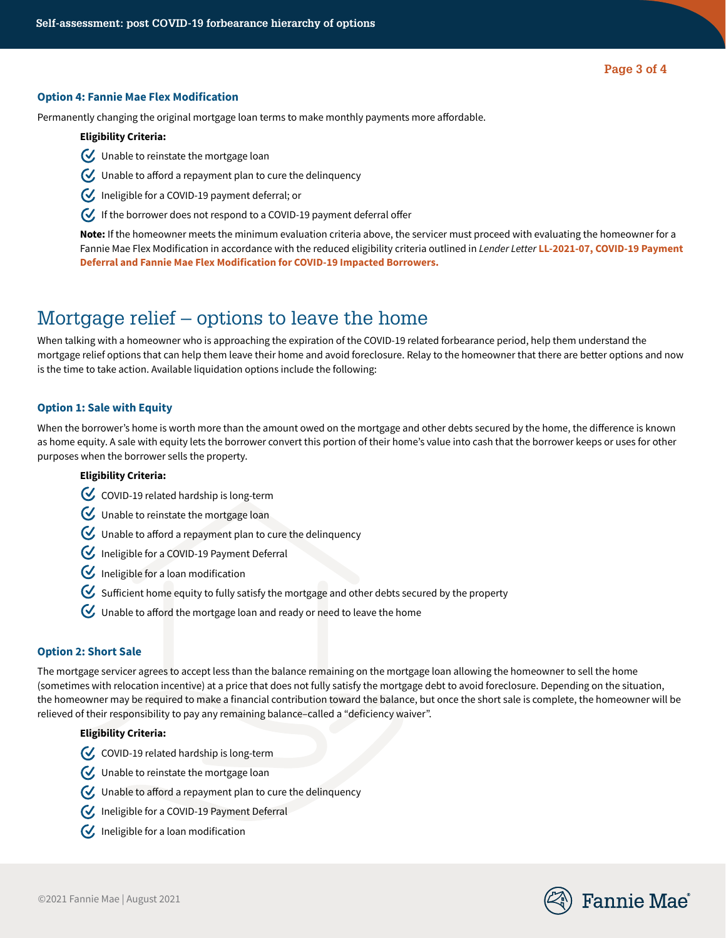#### **Option 4: Fannie Mae Flex Modification**

Permanently changing the original mortgage loan terms to make monthly payments more affordable.

#### **Eligibility Criteria:**

- Unable to reinstate the mortgage loan
- $\bigvee$  Unable to afford a repayment plan to cure the delinquency
- Ineligible for a COVID-19 payment deferral; or
- If the borrower does not respond to a COVID-19 payment deferral offer

**Note:** If the homeowner meets the minimum evaluation criteria above, the servicer must proceed with evaluating the homeowner for a Fannie Mae Flex Modification in accordance with the reduced eligibility criteria outlined in *Lender Letter* **[LL-2021-07, COVID-19 Payment](https://singlefamily.fanniemae.com/media/document/pdf/lender-letter-ll-2021-07-covid-19-payment-deferral)  [Deferral and Fannie Mae Flex Modification for COVID-19 Impacted Borrowers.](https://singlefamily.fanniemae.com/media/document/pdf/lender-letter-ll-2021-07-covid-19-payment-deferral)**

### Mortgage relief – options to leave the home

When talking with a homeowner who is approaching the expiration of the COVID-19 related forbearance period, help them understand the mortgage relief options that can help them leave their home and avoid foreclosure. Relay to the homeowner that there are better options and now is the time to take action. Available liquidation options include the following:

#### **Option 1: Sale with Equity**

When the borrower's home is worth more than the amount owed on the mortgage and other debts secured by the home, the difference is known as home equity. A sale with equity lets the borrower convert this portion of their home's value into cash that the borrower keeps or uses for other purposes when the borrower sells the property.

#### **Eligibility Criteria:**

- $C$  COVID-19 related hardship is long-term
- Unable to reinstate the mortgage loan
- $\bigcup$  Unable to afford a repayment plan to cure the delinquency
- Ineligible for a COVID-19 Payment Deferral
- $\mathbb G$  Ineligible for a loan modification
- $\mathcal G$  Sufficient home equity to fully satisfy the mortgage and other debts secured by the property
- $\bigotimes$  Unable to afford the mortgage loan and ready or need to leave the home

#### **Option 2: Short Sale**

The mortgage servicer agrees to accept less than the balance remaining on the mortgage loan allowing the homeowner to sell the home (sometimes with relocation incentive) at a price that does not fully satisfy the mortgage debt to avoid foreclosure. Depending on the situation, the homeowner may be required to make a financial contribution toward the balance, but once the short sale is complete, the homeowner will be relieved of their responsibility to pay any remaining balance–called a "deficiency waiver".

#### **Eligibility Criteria:**

- $\mathcal G$ , COVID-19 related hardship is long-term
- Unable to reinstate the mortgage loan
- $\bigvee$  Unable to afford a repayment plan to cure the delinquency
- Ineligible for a COVID-19 Payment Deferral
- $\mathcal{U}$  Ineligible for a loan modification